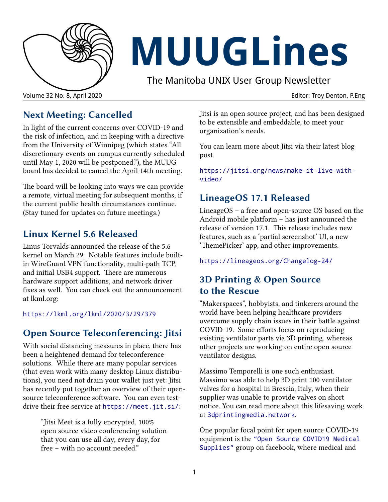

# **MUUGLines**

The Manitoba UNIX User Group Newsletter

**Next Meeting: Cancelled**

In light of the current concerns over COVID-19 and the risk of infection, and in keeping with a directive from the University of Winnipeg (which states "All discretionary events on campus currently scheduled until May 1, 2020 will be postponed."), the MUUG board has decided to cancel the April 14th meeting.

The board will be looking into ways we can provide a remote, virtual meeting for subsequent months, if the current public health circumstances continue. (Stay tuned for updates on future meetings.)

#### **Linux Kernel 5.6 Released**

Linus Torvalds announced the release of the 5.6 kernel on March 29. Notable features include builtin WireGuard VPN functionality, multi-path TCP, and initial USB4 support. There are numerous hardware support additions, and network driver fixes as well. You can check out the announcement at lkml.org:

<https://lkml.org/lkml/2020/3/29/379>

#### **Open Source Teleconferencing: Jitsi**

With social distancing measures in place, there has been a heightened demand for teleconference solutions. While there are many popular services (that even work with many desktop Linux distributions), you need not drain your wallet just yet: Jitsi has recently put together an overview of their opensource teleconference software. You can even testdrive their free service at <https://meet.jit.si/>:

> "Jitsi Meet is a fully encrypted, 100% open source video conferencing solution that you can use all day, every day, for free – with no account needed."

Jitsi is an open source project, and has been designed to be extensible and embeddable, to meet your organization's needs.

You can learn more about Jitsi via their latest blog post.

[https://jitsi.org/news/make-it-live-with](https://jitsi.org/news/make-it-live-with-video/)[video/](https://jitsi.org/news/make-it-live-with-video/)

#### **LineageOS 17.1 Released**

LineageOS – a free and open-source OS based on the Android mobile platform – has just announced the release of version 17.1. This release includes new features, such as a 'partial screenshot' UI, a new 'ThemePicker' app, and other improvements.

<https://lineageos.org/Changelog-24/>

#### **3D Printing & Open Source to the Rescue**

"Makerspaces", hobbyists, and tinkerers around the world have been helping healthcare providers overcome supply chain issues in their battle against COVID-19. Some efforts focus on reproducing existing ventilator parts via 3D printing, whereas other projects are working on entire open source ventilator designs.

Massimo Temporelli is one such enthusiast. Massimo was able to help 3D print 100 ventilator valves for a hospital in Brescia, Italy, when their supplier was unable to provide valves on short notice. You can read more about this lifesaving work at [3dprintingmedia.network](https://www.3dprintingmedia.network/covid-19-3d-printed-valve-for-reanimation-device/).

One popular focal point for open source COVID-19 equipment is the ["Open Source COVID19 Medical](https://www.facebook.com/groups/opensourcecovid19medicalsupplies/)  [Supplies"](https://www.facebook.com/groups/opensourcecovid19medicalsupplies/) group on facebook, where medical and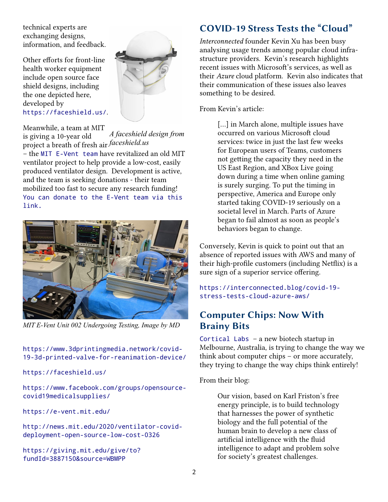technical experts are exchanging designs, information, and feedback.

Other efforts for front-line health worker equipment include open source face shield designs, including the one depicted here, developed by <https://faceshield.us/>.



Meanwhile, a team at MIT

[link.](https://giving.mit.edu/give/to?fundId=3887150&source=WBMPP)

is giving a 10-year old project a breath of fresh air *faceshield.us* – the [MIT E-Vent team](https://e-vent.mit.edu/) have revitalized an old MIT ventilator project to help provide a low-cost, easily produced ventilator design. Development is active, and the team is seeking donations - their team mobilized too fast to secure any research funding! [You can donate to the E-Vent team via this](https://giving.mit.edu/give/to?fundId=3887150&source=WBMPP)  *A faceshield design from* 



*MIT E-Vent Unit 002 Undergoing Testing, Image by MD*

[https://www.3dprintingmedia.network/covid-](https://www.3dprintingmedia.network/covid-19-3d-printed-valve-for-reanimation-device/)[19-3d-printed-valve-for-reanimation-device/](https://www.3dprintingmedia.network/covid-19-3d-printed-valve-for-reanimation-device/)

<https://faceshield.us/>

[https://www.facebook.com/groups/opensource](https://www.facebook.com/groups/opensourcecovid19medicalsupplies/)[covid19medicalsupplies/](https://www.facebook.com/groups/opensourcecovid19medicalsupplies/)

<https://e-vent.mit.edu/>

[http://news.mit.edu/2020/ventilator-covid](http://news.mit.edu/2020/ventilator-covid-deployment-open-source-low-cost-0326)[deployment-open-source-low-cost-0326](http://news.mit.edu/2020/ventilator-covid-deployment-open-source-low-cost-0326)

[https://giving.mit.edu/give/to?](https://giving.mit.edu/give/to?fundId=3887150&source=WBMPP) [fundId=3887150&source=WBMPP](https://giving.mit.edu/give/to?fundId=3887150&source=WBMPP)

#### **COVID-19 Stress Tests the "Cloud"**

*Interconnected* founder Kevin Xu has been busy analysing usage trends among popular cloud infrastructure providers. Kevin's research highlights recent issues with Microsoft's services, as well as their *Azure* cloud platform. Kevin also indicates that their communication of these issues also leaves something to be desired.

From Kevin's article:

[...] in March alone, multiple issues have occurred on various Microsoft cloud services: twice in just the last few weeks for European users of Teams, customers not getting the capacity they need in the US East Region, and XBox Live going down during a time when online gaming is surely surging. To put the timing in perspective, America and Europe only started taking COVID-19 seriously on a societal level in March. Parts of Azure began to fail almost as soon as people's behaviors began to change.

Conversely, Kevin is quick to point out that an absence of reported issues with AWS and many of their high-profile customers (including Netflix) is a sure sign of a superior service offering.

[https://interconnected.blog/covid-19](https://interconnected.blog/covid-19-stress-tests-cloud-azure-aws/) [stress-tests-cloud-azure-aws/](https://interconnected.blog/covid-19-stress-tests-cloud-azure-aws/)

## **Computer Chips: Now With Brainy Bits**

[Cortical Labs](https://corticallabs.com/) – a new biotech startup in Melbourne, Australia, is trying to change the way we think about computer chips – or more accurately, they trying to change the way chips think entirely!

From their blog:

Our vision, based on Karl Friston's free energy principle, is to build technology that harnesses the power of synthetic biology and the full potential of the human brain to develop a new class of artificial intelligence with the fluid intelligence to adapt and problem solve for society's greatest challenges.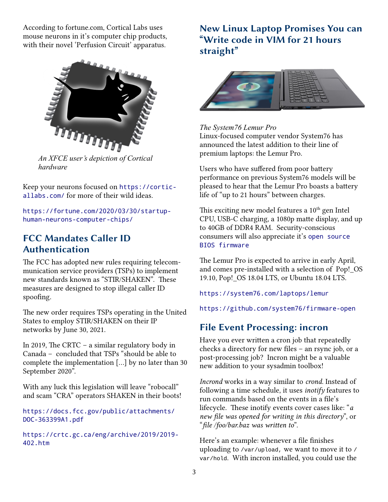According to fortune.com, Cortical Labs uses mouse neurons in it's computer chip products, with their novel 'Perfusion Circuit' apparatus.



*An XFCE user's depiction of Cortical hardware*

Keep your neurons focused on [https://cortic](https://corticallabs.com/)[allabs.com/](https://corticallabs.com/) for more of their wild ideas.

[https://fortune.com/2020/03/30/startup](https://fortune.com/2020/03/30/startup-human-neurons-computer-chips/)[human-neurons-computer-chips/](https://fortune.com/2020/03/30/startup-human-neurons-computer-chips/)

#### **FCC Mandates Caller ID Authentication**

The FCC has adopted new rules requiring telecommunication service providers (TSPs) to implement new standards known as "STIR/SHAKEN". These measures are designed to stop illegal caller ID spoofing.

The new order requires TSPs operating in the United States to employ STIR/SHAKEN on their IP networks by June 30, 2021.

In 2019, The CRTC – a similar regulatory body in Canada – concluded that TSPs "should be able to complete the implementation [...] by no later than 30 September 2020".

With any luck this legislation will leave "robocall" and scam "CRA" operators SHAKEN in their boots!

[https://docs.fcc.gov/public/attachments/](https://docs.fcc.gov/public/attachments/DOC-363399A1.pdf) [DOC-363399A1.pdf](https://docs.fcc.gov/public/attachments/DOC-363399A1.pdf)

[https://crtc.gc.ca/eng/archive/2019/2019-](https://crtc.gc.ca/eng/archive/2019/2019-402.htm) [402.htm](https://crtc.gc.ca/eng/archive/2019/2019-402.htm)

#### **New Linux Laptop Promises You can "Write code in VIM for 21 hours straight"**



Linux-focused computer vendor System76 has announced the latest addition to their line of premium laptops: the Lemur Pro. *The System76 Lemur Pro*

Users who have suffered from poor battery performance on previous System76 models will be pleased to hear that the Lemur Pro boasts a battery life of "up to 21 hours" between charges.

This exciting new model features a  $10<sup>th</sup>$  gen Intel CPU, USB-C charging, a 1080p matte display, and up to 40GB of DDR4 RAM. Security-conscious consumers will also appreciate it's [open source](https://github.com/system76/firmware-open)  [BIOS firmware](https://github.com/system76/firmware-open)

The Lemur Pro is expected to arrive in early April, and comes pre-installed with a selection of Pop!\_OS 19.10, Pop!\_OS 18.04 LTS, or Ubuntu 18.04 LTS.

<https://system76.com/laptops/lemur>

<https://github.com/system76/firmware-open>

#### **File Event Processing: incron**

Have you ever written a cron job that repeatedly checks a directory for new files – an rsync job, or a post-processing job? Incron might be a valuable new addition to your sysadmin toolbox!

*Incrond* works in a way similar to *crond.* Instead of following a time schedule, it uses *inotify* features to run commands based on the events in a file's lifecycle. These inotify events cover cases like: "*a new file was opened for writing in this directory*", or "*file /foo/bar.baz was written to*".

Here's an example: whenever a file finishes uploading to /var/upload, we want to move it to / var/hold. With incron installed, you could use the